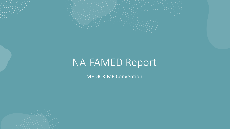

# NA-FAMED Report

MEDICRIME Convention

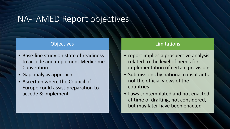## NA-FAMED Report objectives

### **Objectives**

- Base-line study on state of readiness to accede and implement Medicrime Convention
- Gap analysis approach
- Ascertain where the Council of Europe could assist preparation to accede & implement

### Limitations

- report implies a prospective analysis related to the level of needs for implementation of certain provisions
- Submissions by national consultants not the official views of the countries
- Laws contemplated and not enacted at time of drafting, not considered, but may later have been enacted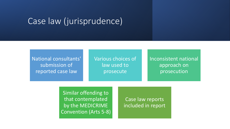## Case law (jurisprudence)

National consultants' submission of reported case law

Various choices of law used to prosecute

Inconsistent national approach on prosecution

Similar offending to that contemplated by the MEDICRIME Convention (Arts 5-8)

Case law reports included in report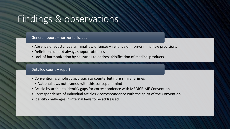## Findings & observations

#### General report – horizontal issues

- Absence of substantive criminal law offences reliance on non-criminal law provisions
- Definitions do not always support offences
- Lack of harmonization by countries to address falsification of medical products

#### Detailed country report

- Convention is a holistic approach to counterfeiting & similar crimes
- National laws not framed with this concept in mind
- Article by article to identify gaps for correspondence with MEDICRIME Convention
- Correspondence of individual articles v correspondence with the spirit of the Convention
- Identify challenges in internal laws to be addressed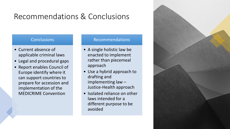## Recommendations & Conclusions

### **Conclusions**

- Current absence of applicable criminal laws
- Legal and procedural gaps
- Report enables Council of Europe identify where it can support countries to prepare for accession and implementation of the MEDICRIME Convention

#### Recommendations

- A single holistic law be enacted to implement rather than piecemeal approach
- Use a hybrid approach to drafting and implementing law – Justice-Health approach
- Isolated reliance on other laws intended for a different purpose to be avoided